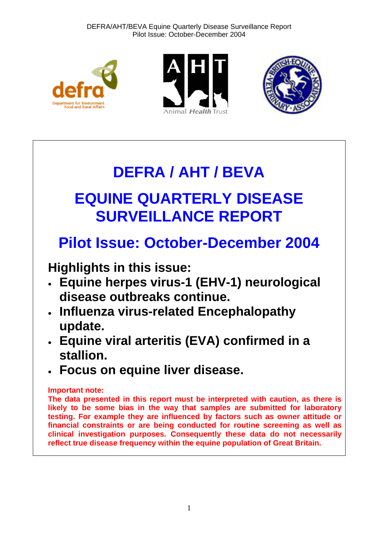





# **DEFRA / AHT / BEVA EQUINE QUARTERLY DISEASE SURVEILLANCE REPORT**

# **Pilot Issue: October-December 2004**

**Highlights in this issue:** 

- **Equine herpes virus-1 (EHV-1) neurological disease outbreaks continue.**
- **Influenza virus-related Encephalopathy update.**
- **Equine viral arteritis (EVA) confirmed in a stallion.**
- **Focus on equine liver disease.**

# **Important note:**

**The data presented in this report must be interpreted with caution, as there is likely to be some bias in the way that samples are submitted for laboratory testing. For example they are influenced by factors such as owner attitude or financial constraints or are being conducted for routine screening as well as clinical investigation purposes. Consequently these data do not necessarily reflect true disease frequency within the equine population of Great Britain.**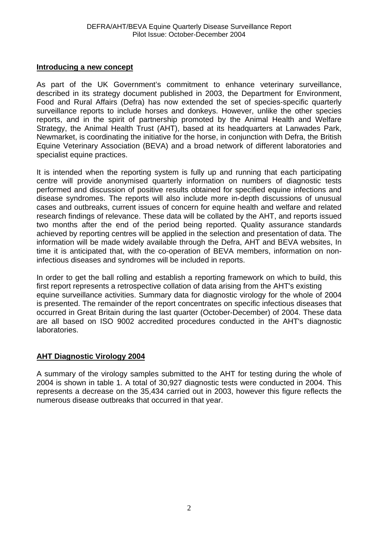#### **Introducing a new concept**

As part of the UK Government's commitment to enhance veterinary surveillance, described in its strategy document published in 2003, the Department for Environment, Food and Rural Affairs (Defra) has now extended the set of species-specific quarterly surveillance reports to include horses and donkeys. However, unlike the other species reports, and in the spirit of partnership promoted by the Animal Health and Welfare Strategy, the Animal Health Trust (AHT), based at its headquarters at Lanwades Park, Newmarket, is coordinating the initiative for the horse, in conjunction with Defra, the British Equine Veterinary Association (BEVA) and a broad network of different laboratories and specialist equine practices.

It is intended when the reporting system is fully up and running that each participating centre will provide anonymised quarterly information on numbers of diagnostic tests performed and discussion of positive results obtained for specified equine infections and disease syndromes. The reports will also include more in-depth discussions of unusual cases and outbreaks, current issues of concern for equine health and welfare and related research findings of relevance. These data will be collated by the AHT, and reports issued two months after the end of the period being reported. Quality assurance standards achieved by reporting centres will be applied in the selection and presentation of data. The information will be made widely available through the Defra, AHT and BEVA websites, In time it is anticipated that, with the co-operation of BEVA members, information on noninfectious diseases and syndromes will be included in reports.

In order to get the ball rolling and establish a reporting framework on which to build, this first report represents a retrospective collation of data arising from the AHT's existing equine surveillance activities. Summary data for diagnostic virology for the whole of 2004 is presented. The remainder of the report concentrates on specific infectious diseases that occurred in Great Britain during the last quarter (October-December) of 2004. These data are all based on ISO 9002 accredited procedures conducted in the AHT's diagnostic laboratories.

#### **AHT Diagnostic Virology 2004**

A summary of the virology samples submitted to the AHT for testing during the whole of 2004 is shown in table 1. A total of 30,927 diagnostic tests were conducted in 2004. This represents a decrease on the 35,434 carried out in 2003, however this figure reflects the numerous disease outbreaks that occurred in that year.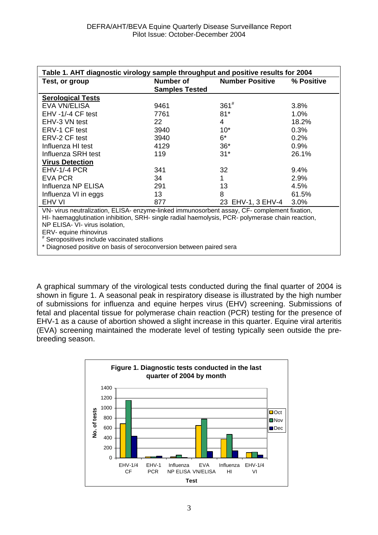| Table 1. AHT diagnostic virology sample throughput and positive results for 2004                 |                       |                        |            |  |
|--------------------------------------------------------------------------------------------------|-----------------------|------------------------|------------|--|
| Test, or group                                                                                   | Number of             | <b>Number Positive</b> | % Positive |  |
|                                                                                                  | <b>Samples Tested</b> |                        |            |  |
| <b>Serological Tests</b>                                                                         |                       |                        |            |  |
| EVA VN/ELISA                                                                                     | 9461                  | $361^{#}$              | 3.8%       |  |
| EHV-1/-4 CF test                                                                                 | 7761                  | $81*$                  | $1.0\%$    |  |
| EHV-3 VN test                                                                                    | 22                    | 4                      | 18.2%      |  |
| ERV-1 CF test                                                                                    | 3940                  | $10*$                  | 0.3%       |  |
| ERV-2 CF test                                                                                    | 3940                  | $6*$                   | 0.2%       |  |
| Influenza HI test                                                                                | 4129                  | $36*$                  | 0.9%       |  |
| Influenza SRH test                                                                               | 119                   | $31*$                  | 26.1%      |  |
| <b>Virus Detection</b>                                                                           |                       |                        |            |  |
| EHV-1/-4 PCR                                                                                     | 341                   | 32                     | 9.4%       |  |
| <b>EVA PCR</b>                                                                                   | 34                    | 1                      | 2.9%       |  |
| Influenza NP ELISA                                                                               | 291                   | 13                     | 4.5%       |  |
| Influenza VI in eggs                                                                             | 13                    | 8                      | 61.5%      |  |
| EHV VI                                                                                           | 877                   | 23 EHV-1, 3 EHV-4      | 3.0%       |  |
| VN- virus neutralization, ELISA- enzyme-linked immunosorbent assay, CF- complement fixation,     |                       |                        |            |  |
| HI- haemagglutination inhibition, SRH- single radial haemolysis, PCR- polymerase chain reaction, |                       |                        |            |  |
| NP ELISA- VI- virus isolation,                                                                   |                       |                        |            |  |
| ERV- equine rhinovirus                                                                           |                       |                        |            |  |
| # Seropositives include vaccinated stallions                                                     |                       |                        |            |  |
| * Diagnosed positive on basis of seroconversion between paired sera                              |                       |                        |            |  |

A graphical summary of the virological tests conducted during the final quarter of 2004 is shown in figure 1. A seasonal peak in respiratory disease is illustrated by the high number of submissions for influenza and equine herpes virus (EHV) screening. Submissions of fetal and placental tissue for polymerase chain reaction (PCR) testing for the presence of EHV-1 as a cause of abortion showed a slight increase in this quarter. Equine viral arteritis (EVA) screening maintained the moderate level of testing typically seen outside the prebreeding season.

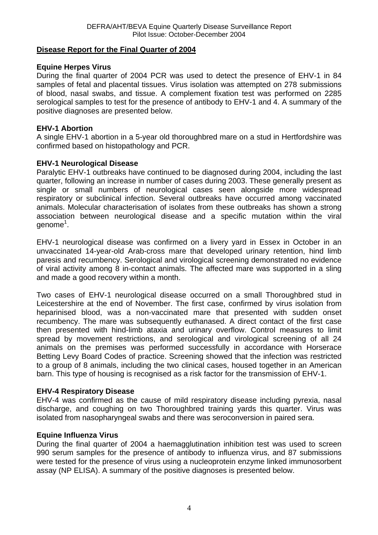# **Disease Report for the Final Quarter of 2004**

## **Equine Herpes Virus**

During the final quarter of 2004 PCR was used to detect the presence of EHV-1 in 84 samples of fetal and placental tissues. Virus isolation was attempted on 278 submissions of blood, nasal swabs, and tissue. A complement fixation test was performed on 2285 serological samples to test for the presence of antibody to EHV-1 and 4. A summary of the positive diagnoses are presented below.

## **EHV-1 Abortion**

A single EHV-1 abortion in a 5-year old thoroughbred mare on a stud in Hertfordshire was confirmed based on histopathology and PCR.

# **EHV-1 Neurological Disease**

Paralytic EHV-1 outbreaks have continued to be diagnosed during 2004, including the last quarter, following an increase in number of cases during 2003. These generally present as single or small numbers of neurological cases seen alongside more widespread respiratory or subclinical infection. Several outbreaks have occurred among vaccinated animals. Molecular characterisation of isolates from these outbreaks has shown a strong association between neurological disease and a specific mutation within the viral genome<sup>1</sup>.

EHV-1 neurological disease was confirmed on a livery yard in Essex in October in an unvaccinated 14-year-old Arab-cross mare that developed urinary retention, hind limb paresis and recumbency. Serological and virological screening demonstrated no evidence of viral activity among 8 in-contact animals. The affected mare was supported in a sling and made a good recovery within a month.

Two cases of EHV-1 neurological disease occurred on a small Thoroughbred stud in Leicestershire at the end of November. The first case, confirmed by virus isolation from heparinised blood, was a non-vaccinated mare that presented with sudden onset recumbency. The mare was subsequently euthanased. A direct contact of the first case then presented with hind-limb ataxia and urinary overflow. Control measures to limit spread by movement restrictions, and serological and virological screening of all 24 animals on the premises was performed successfully in accordance with Horserace Betting Levy Board Codes of practice. Screening showed that the infection was restricted to a group of 8 animals, including the two clinical cases, housed together in an American barn. This type of housing is recognised as a risk factor for the transmission of EHV-1.

#### **EHV-4 Respiratory Disease**

EHV-4 was confirmed as the cause of mild respiratory disease including pyrexia, nasal discharge, and coughing on two Thoroughbred training yards this quarter. Virus was isolated from nasopharyngeal swabs and there was seroconversion in paired sera.

#### **Equine Influenza Virus**

During the final quarter of 2004 a haemagglutination inhibition test was used to screen 990 serum samples for the presence of antibody to influenza virus, and 87 submissions were tested for the presence of virus using a nucleoprotein enzyme linked immunosorbent assay (NP ELISA). A summary of the positive diagnoses is presented below.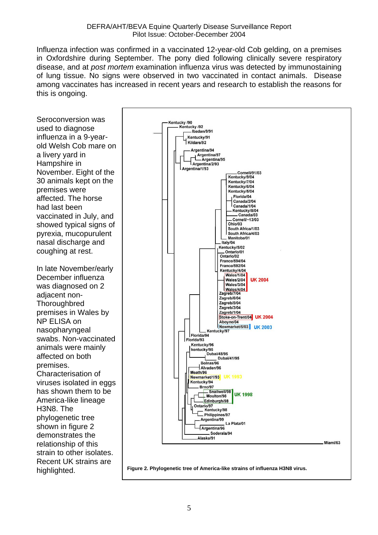Influenza infection was confirmed in a vaccinated 12-year-old Cob gelding, on a premises in Oxfordshire during September. The pony died following clinically severe respiratory disease, and at *post mortem* examination influenza virus was detected by immunostaining of lung tissue. No signs were observed in two vaccinated in contact animals. Disease among vaccinates has increased in recent years and research to establish the reasons for this is ongoing.

Seroconversion was used to diagnose influenza in a 9-yearold Welsh Cob mare on a livery yard in Hampshire in November. Eight of the 30 animals kept on the premises were affected. The horse had last been vaccinated in July, and showed typical signs of pyrexia, mucopurulent nasal discharge and coughing at rest.

In late November/early December influenza was diagnosed on 2 adjacent non-**Thoroughbred** premises in Wales by NP ELISA on nasopharyngeal swabs. Non-vaccinated animals were mainly affected on both premises. Characterisation of viruses isolated in eggs has shown them to be America-like lineage H3N8. The phylogenetic tree shown in figure 2 demonstrates the relationship of this strain to other isolates. Recent UK strains are highlighted.



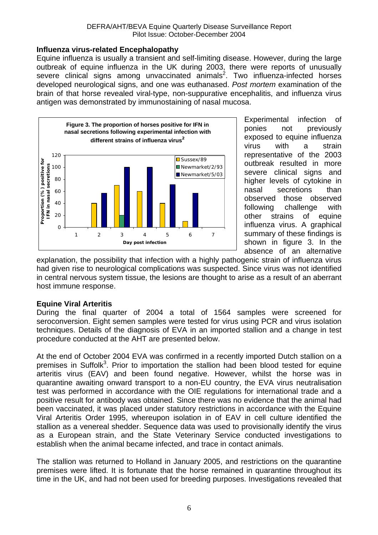#### **Influenza virus-related Encephalopathy**

Equine influenza is usually a transient and self-limiting disease. However, during the large outbreak of equine influenza in the UK during 2003, there were reports of unusually severe clinical signs among unvaccinated  $\overline{a}$ nimals<sup>2</sup>. Two influenza-infected horses developed neurological signs, and one was euthanased. *Post mortem* examination of the brain of that horse revealed viral-type, non-suppurative encephalitis, and influenza virus antigen was demonstrated by immunostaining of nasal mucosa.



Experimental infection of ponies not previously exposed to equine influenza virus with a strain representative of the 2003 outbreak resulted in more severe clinical signs and higher levels of cytokine in nasal secretions than observed those observed following challenge with other strains of equine influenza virus. A graphical summary of these findings is shown in figure 3. In the absence of an alternative

explanation, the possibility that infection with a highly pathogenic strain of influenza virus had given rise to neurological complications was suspected. Since virus was not identified in central nervous system tissue, the lesions are thought to arise as a result of an aberrant host immune response.

# **Equine Viral Arteritis**

During the final quarter of 2004 a total of 1564 samples were screened for seroconversion. Eight semen samples were tested for virus using PCR and virus isolation techniques. Details of the diagnosis of EVA in an imported stallion and a change in test procedure conducted at the AHT are presented below.

At the end of October 2004 EVA was confirmed in a recently imported Dutch stallion on a premises in Suffolk<sup>3</sup>. Prior to importation the stallion had been blood tested for equine arteritis virus (EAV) and been found negative. However, whilst the horse was in quarantine awaiting onward transport to a non-EU country, the EVA virus neutralisation test was performed in accordance with the OIE regulations for international trade and a positive result for antibody was obtained. Since there was no evidence that the animal had been vaccinated, it was placed under statutory restrictions in accordance with the Equine Viral Arteritis Order 1995, whereupon isolation in of EAV in cell culture identified the stallion as a venereal shedder. Sequence data was used to provisionally identify the virus as a European strain, and the State Veterinary Service conducted investigations to establish when the animal became infected, and trace in contact animals.

The stallion was returned to Holland in January 2005, and restrictions on the quarantine premises were lifted. It is fortunate that the horse remained in quarantine throughout its time in the UK, and had not been used for breeding purposes. Investigations revealed that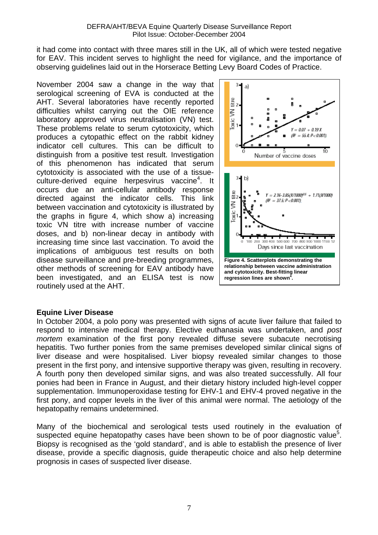it had come into contact with three mares still in the UK, all of which were tested negative for EAV. This incident serves to highlight the need for vigilance, and the importance of observing guidelines laid out in the Horserace Betting Levy Board Codes of Practice.

November 2004 saw a change in the way that serological screening of EVA is conducted at the AHT. Several laboratories have recently reported difficulties whilst carrying out the OIE reference laboratory approved virus neutralisation (VN) test. These problems relate to serum cytotoxicity, which produces a cytopathic effect on the rabbit kidney indicator cell cultures. This can be difficult to distinguish from a positive test result. Investigation of this phenomenon has indicated that serum cytotoxicity is associated with the use of a tissueculture-derived equine herpesvirus vaccine<sup>4</sup>. It occurs due an anti-cellular antibody response directed against the indicator cells. This link between vaccination and cytotoxicity is illustrated by the graphs in figure 4, which show a) increasing toxic VN titre with increase number of vaccine doses, and b) non-linear decay in antibody with increasing time since last vaccination. To avoid the implications of ambiguous test results on both disease surveillance and pre-breeding programmes, other methods of screening for EAV antibody have been investigated, and an ELISA test is now routinely used at the AHT.



#### **Equine Liver Disease**

In October 2004, a polo pony was presented with signs of acute liver failure that failed to respond to intensive medical therapy. Elective euthanasia was undertaken, and *post mortem* examination of the first pony revealed diffuse severe subacute necrotising hepatitis. Two further ponies from the same premises developed similar clinical signs of liver disease and were hospitalised. Liver biopsy revealed similar changes to those present in the first pony, and intensive supportive therapy was given, resulting in recovery. A fourth pony then developed similar signs, and was also treated successfully. All four ponies had been in France in August, and their dietary history included high-level copper supplementation. Immunoperoxidase testing for EHV-1 and EHV-4 proved negative in the first pony, and copper levels in the liver of this animal were normal. The aetiology of the hepatopathy remains undetermined.

Many of the biochemical and serological tests used routinely in the evaluation of suspected equine hepatopathy cases have been shown to be of poor diagnostic value<sup>5</sup>. Biopsy is recognised as the 'gold standard', and is able to establish the presence of liver disease, provide a specific diagnosis, guide therapeutic choice and also help determine prognosis in cases of suspected liver disease.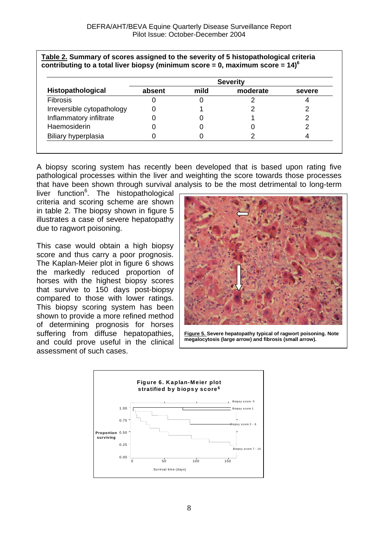| Table 2. Summary of scores assigned to the severity of 5 histopathological criteria          |  |
|----------------------------------------------------------------------------------------------|--|
| contributing to a total liver biopsy (minimum score = 0, maximum score = $14$ ) <sup>o</sup> |  |

| Histopathological          | <b>Severity</b> |      |          |        |  |
|----------------------------|-----------------|------|----------|--------|--|
|                            | absent          | mild | moderate | severe |  |
| <b>Fibrosis</b>            |                 |      |          |        |  |
| Irreversible cytopathology |                 |      |          |        |  |
| Inflammatory infiltrate    |                 |      |          |        |  |
| Haemosiderin               |                 |      |          |        |  |
| Biliary hyperplasia        |                 |      |          |        |  |

A biopsy scoring system has recently been developed that is based upon rating five pathological processes within the liver and weighting the score towards those processes that have been shown through survival analysis to be the most detrimental to long-term

liver function<sup>6</sup>. The histopathological criteria and scoring scheme are shown in table 2. The biopsy shown in figure 5 illustrates a case of severe hepatopathy due to ragwort poisoning.

This case would obtain a high biopsy score and thus carry a poor prognosis. The Kaplan-Meier plot in figure 6 shows the markedly reduced proportion of horses with the highest biopsy scores that survive to 150 days post-biopsy compared to those with lower ratings. This biopsy scoring system has been shown to provide a more refined method of determining prognosis for horses suffering from diffuse hepatopathies, and could prove useful in the clinical assessment of such cases.



**Figure 5. Severe hepatopathy typical of ragwort poisoning. Note megalocytosis (large arrow) and fibrosis (small arrow).** 

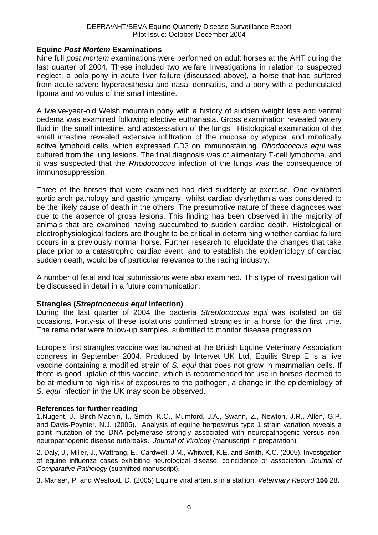#### **Equine** *Post Mortem* **Examinations**

Nine full *post mortem* examinations were performed on adult horses at the AHT during the last quarter of 2004. These included two welfare investigations in relation to suspected neglect, a polo pony in acute liver failure (discussed above), a horse that had suffered from acute severe hyperaesthesia and nasal dermatitis, and a pony with a pedunculated lipoma and volvulus of the small intestine.

A twelve-year-old Welsh mountain pony with a history of sudden weight loss and ventral oedema was examined following elective euthanasia. Gross examination revealed watery fluid in the small intestine, and abscessation of the lungs. Histological examination of the small intestine revealed extensive infiltration of the mucosa by atypical and mitotically active lymphoid cells, which expressed CD3 on immunostaining. *Rhodococcus equi* was cultured from the lung lesions. The final diagnosis was of alimentary T-cell lymphoma, and it was suspected that the *Rhodococcus* infection of the lungs was the consequence of immunosuppression.

Three of the horses that were examined had died suddenly at exercise. One exhibited aortic arch pathology and gastric tympany, whilst cardiac dysrhythmia was considered to be the likely cause of death in the others. The presumptive nature of these diagnoses was due to the absence of gross lesions. This finding has been observed in the majority of animals that are examined having succumbed to sudden cardiac death. Histological or electrophysiological factors are thought to be critical in determining whether cardiac failure occurs in a previously normal horse. Further research to elucidate the changes that take place prior to a catastrophic cardiac event, and to establish the epidemiology of cardiac sudden death, would be of particular relevance to the racing industry.

A number of fetal and foal submissions were also examined. This type of investigation will be discussed in detail in a future communication.

#### **Strangles (***Streptococcus equi* **Infection)**

During the last quarter of 2004 the bacteria *Streptococcus equi* was isolated on 69 occasions. Forty-six of these isolations confirmed strangles in a horse for the first time. The remainder were follow-up samples, submitted to monitor disease progression

Europe's first strangles vaccine was launched at the British Equine Veterinary Association congress in September 2004. Produced by Intervet UK Ltd, Equilis Strep E is a live vaccine containing a modified strain of *S. equi* that does not grow in mammalian cells. If there is good uptake of this vaccine, which is recommended for use in horses deemed to be at medium to high risk of exposures to the pathogen, a change in the epidemiology of *S. equi* infection in the UK may soon be observed.

#### **References for further reading**

1.Nugent, J., Birch-Machin, I., Smith, K.C., Mumford, J.A., Swann, Z., Newton, J.R., Allen, G.P. and Davis-Poynter, N.J. (2005). Analysis of equine herpesvirus type 1 strain variation reveals a point mutation of the DNA polymerase strongly associated with neuropathogenic versus nonneuropathogenic disease outbreaks. *Journal of Virology* (manuscript in preparation)*.*

2. Daly, J., Miller, J., Wattrang, E., Cardwell, J.M., Whitwell, K.E. and Smith, K.C. (2005). Investigation of equine influenza cases exhibiting neurological disease: coincidence or association. *Journal of Comparative Pathology* (submitted manuscript).

3. Manser, P. and Westcott, D. (2005) Equine viral arteritis in a stallion. *Veterinary Record* **156** 28.